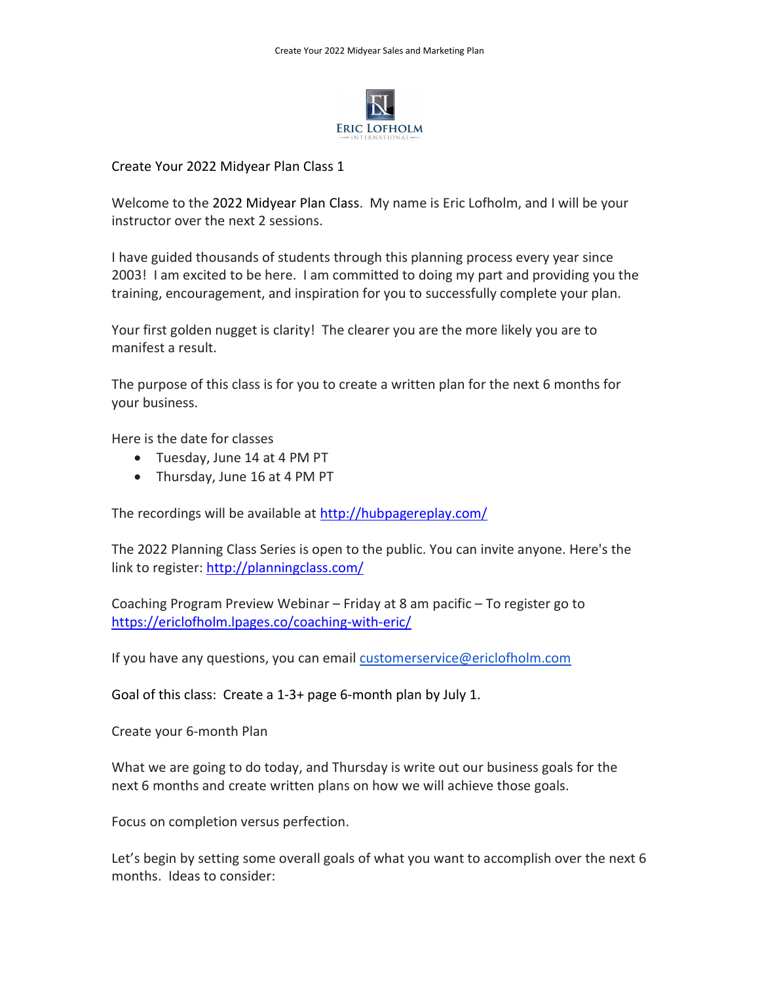

## Create Your 2022 Midyear Plan Class 1

Welcome to the 2022 Midyear Plan Class. My name is Eric Lofholm, and I will be your instructor over the next 2 sessions.

I have guided thousands of students through this planning process every year since 2003! I am excited to be here. I am committed to doing my part and providing you the training, encouragement, and inspiration for you to successfully complete your plan.

Your first golden nugget is clarity! The clearer you are the more likely you are to manifest a result.

The purpose of this class is for you to create a written plan for the next 6 months for your business.

Here is the date for classes

- Tuesday, June 14 at 4 PM PT
- Thursday, June 16 at 4 PM PT

The recordings will be available at http://hubpagereplay.com/

The 2022 Planning Class Series is open to the public. You can invite anyone. Here's the link to register: http://planningclass.com/

Coaching Program Preview Webinar – Friday at 8 am pacific – To register go to https://ericlofholm.lpages.co/coaching-with-eric/

If you have any questions, you can email customerservice@ericlofholm.com

Goal of this class: Create a 1-3+ page 6-month plan by July 1.

Create your 6-month Plan

What we are going to do today, and Thursday is write out our business goals for the next 6 months and create written plans on how we will achieve those goals.

Focus on completion versus perfection.

Let's begin by setting some overall goals of what you want to accomplish over the next 6 months. Ideas to consider: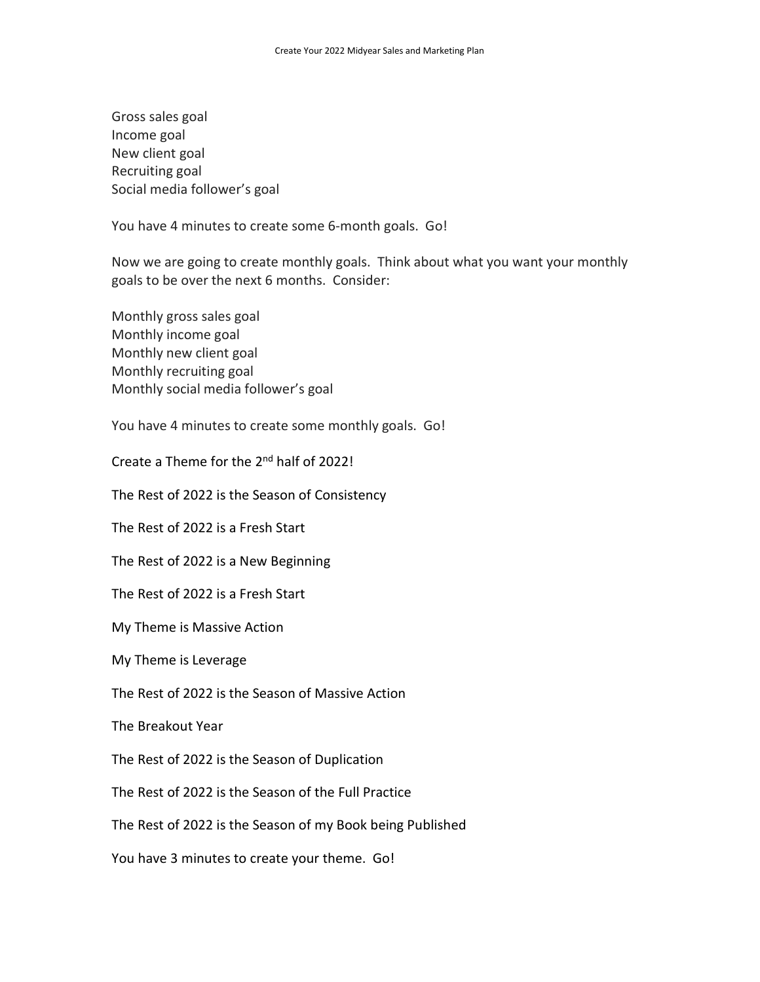Gross sales goal Income goal New client goal Recruiting goal Social media follower's goal

You have 4 minutes to create some 6-month goals. Go!

Now we are going to create monthly goals. Think about what you want your monthly goals to be over the next 6 months. Consider:

Monthly gross sales goal Monthly income goal Monthly new client goal Monthly recruiting goal Monthly social media follower's goal

You have 4 minutes to create some monthly goals. Go!

Create a Theme for the 2<sup>nd</sup> half of 2022!

The Rest of 2022 is the Season of Consistency

The Rest of 2022 is a Fresh Start

The Rest of 2022 is a New Beginning

The Rest of 2022 is a Fresh Start

My Theme is Massive Action

My Theme is Leverage

The Rest of 2022 is the Season of Massive Action

The Breakout Year

The Rest of 2022 is the Season of Duplication

The Rest of 2022 is the Season of the Full Practice

The Rest of 2022 is the Season of my Book being Published

You have 3 minutes to create your theme. Go!